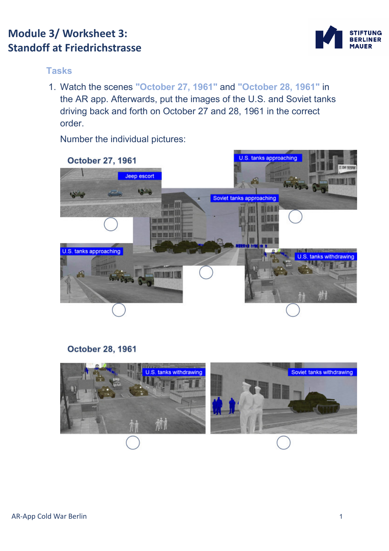# **Module 3/ Worksheet 3: Standoff at Friedrichstrasse**



#### **Tasks**

1. Watch the scenes **"October 27, 1961"** and **"October 28, 1961"** in the AR app. Afterwards, put the images of the U.S. and Soviet tanks driving back and forth on October 27 and 28, 1961 in the correct order.

Number the individual pictures:



### **October 28, 1961**

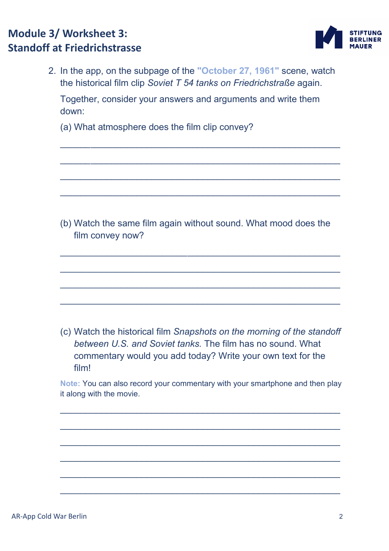# **Module 3/ Worksheet 3: Standoff at Friedrichstrasse**



2. In the app, on the subpage of the **"October 27, 1961"** scene, watch the historical film clip *Soviet T 54 tanks on Friedrichstraße* again. Together, consider your answers and arguments and write them down:

\_\_\_\_\_*\_*\_\_\_\_\_\_\_\_\_\_\_\_\_\_\_\_\_\_\_\_\_\_\_\_\_\_\_\_\_\_\_\_\_\_\_\_\_\_\_\_\_\_\_\_\_\_\_\_\_

\_\_\_\_\_*\_*\_\_\_\_\_\_\_\_\_\_\_\_\_\_\_\_\_\_\_\_\_\_\_\_\_\_\_\_\_\_\_\_\_\_\_\_\_\_\_\_\_\_\_\_\_\_\_\_\_

 $\_$  , and the set of the set of the set of the set of the set of the set of the set of the set of the set of the set of the set of the set of the set of the set of the set of the set of the set of the set of the set of th

\_\_\_\_\_\_\_\_\_\_\_\_\_\_\_\_\_\_\_\_\_\_\_\_\_\_\_\_\_\_\_\_\_\_\_\_\_\_\_\_\_\_\_\_\_\_\_\_\_\_\_\_\_\_\_

(a) What atmosphere does the film clip convey?

(b) Watch the same film again without sound. What mood does the film convey now?

\_\_\_\_\_\_\_\_\_\_\_\_\_\_\_\_\_\_\_\_*\_\_\_\_\_*\_\_\_\_\_\_\_\_\_\_\_\_\_\_\_\_\_\_\_\_\_\_\_\_\_\_\_\_\_\_

\_\_\_\_\_\_\_\_\_\_\_\_\_\_\_\_\_\_\_\_\_\_\_\_\_\_\_\_\_\_\_\_\_\_\_\_\_\_\_\_\_\_\_\_\_\_\_\_\_\_\_\_\_\_\_

\_\_\_\_\_\_\_\_\_\_\_\_\_\_\_\_\_\_\_\_\_\_\_\_\_\_\_\_\_\_\_\_\_\_\_\_\_\_\_\_\_\_\_\_\_\_\_\_\_\_\_\_\_\_\_

 $\_$  , and the set of the set of the set of the set of the set of the set of the set of the set of the set of the set of the set of the set of the set of the set of the set of the set of the set of the set of the set of th

(c) Watch the historical film *Snapshots on the morning of the standoff between U.S. and Soviet tanks.* The film has no sound. What commentary would you add today? Write your own text for the film!

**Note:** You can also record your commentary with your smartphone and then play it along with the movie.

 $\mathcal{L}_\mathcal{L} = \{ \mathcal{L}_\mathcal{L} = \{ \mathcal{L}_\mathcal{L} = \{ \mathcal{L}_\mathcal{L} = \{ \mathcal{L}_\mathcal{L} = \{ \mathcal{L}_\mathcal{L} = \{ \mathcal{L}_\mathcal{L} = \{ \mathcal{L}_\mathcal{L} = \{ \mathcal{L}_\mathcal{L} = \{ \mathcal{L}_\mathcal{L} = \{ \mathcal{L}_\mathcal{L} = \{ \mathcal{L}_\mathcal{L} = \{ \mathcal{L}_\mathcal{L} = \{ \mathcal{L}_\mathcal{L} = \{ \mathcal{L}_\mathcal{$ 

\_\_\_\_\_\_\_\_\_\_\_\_\_\_\_\_\_\_\_\_\_\_\_\_\_\_\_\_\_\_\_\_\_\_\_\_\_\_\_\_\_\_\_\_\_\_\_\_\_\_\_\_\_\_\_

\_\_\_\_\_\_\_\_\_\_\_\_\_\_\_\_\_\_\_\_\_\_\_\_\_\_\_\_\_\_\_\_\_\_\_\_\_\_\_\_\_\_\_\_\_\_\_\_\_\_\_\_\_\_\_

\_\_\_\_\_\_\_\_\_\_\_\_\_\_\_\_\_\_\_\_\_\_\_\_\_\_\_\_\_\_\_\_\_\_\_\_\_\_\_\_\_\_\_\_\_\_\_\_\_\_\_\_\_\_\_

\_\_\_\_\_\_\_\_\_\_\_\_\_\_\_\_\_\_\_\_\_\_\_\_\_\_\_\_\_\_\_\_\_\_\_\_\_\_\_\_\_\_\_\_\_\_\_\_\_\_\_\_\_\_\_

\_\_\_\_\_\_\_\_\_\_\_\_\_\_\_\_\_\_\_\_\_\_\_\_\_\_\_\_\_\_\_\_\_\_\_\_\_\_\_\_\_\_\_\_\_\_\_\_\_\_\_\_\_\_\_